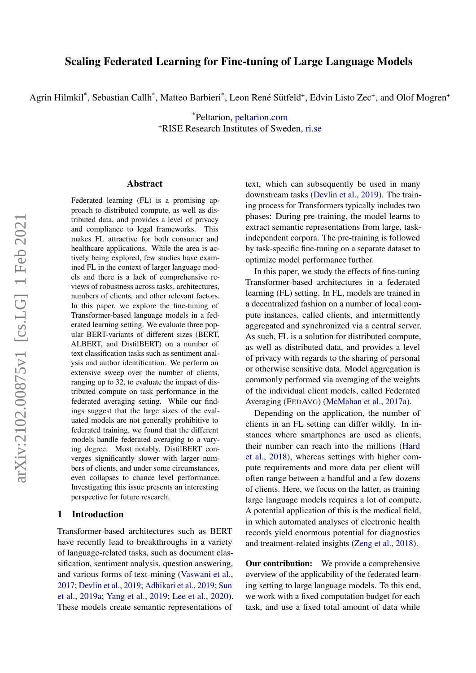Agrin Hilmkil\*, Sebastian Callh\*, Matteo Barbieri\*, Leon René Sütfeld+, Edvin Listo Zec+, and Olof Mogren+

\*Peltarion, [peltarion.com](https://peltarion.com) <sup>+</sup>RISE Research Institutes of Sweden, [ri.se](https://ri.se)

#### Abstract

Federated learning (FL) is a promising approach to distributed compute, as well as distributed data, and provides a level of privacy and compliance to legal frameworks. This makes FL attractive for both consumer and healthcare applications. While the area is actively being explored, few studies have examined FL in the context of larger language models and there is a lack of comprehensive reviews of robustness across tasks, architectures, numbers of clients, and other relevant factors. In this paper, we explore the fine-tuning of Transformer-based language models in a federated learning setting. We evaluate three popular BERT-variants of different sizes (BERT, ALBERT, and DistilBERT) on a number of text classification tasks such as sentiment analysis and author identification. We perform an extensive sweep over the number of clients, ranging up to 32, to evaluate the impact of distributed compute on task performance in the federated averaging setting. While our findings suggest that the large sizes of the evaluated models are not generally prohibitive to federated training, we found that the different models handle federated averaging to a varying degree. Most notably, DistilBERT converges significantly slower with larger numbers of clients, and under some circumstances, even collapses to chance level performance. Investigating this issue presents an interesting perspective for future research.

# 1 Introduction

Transformer-based architectures such as BERT have recently lead to breakthroughs in a variety of language-related tasks, such as document classification, sentiment analysis, question answering, and various forms of text-mining [\(Vaswani et al.,](#page-5-0) [2017;](#page-5-0) [Devlin et al.,](#page-4-0) [2019;](#page-4-0) [Adhikari et al.,](#page-4-1) [2019;](#page-4-1) [Sun](#page-5-1) [et al.,](#page-5-1) [2019a;](#page-5-1) [Yang et al.,](#page-5-2) [2019;](#page-5-2) [Lee et al.,](#page-4-2) [2020\)](#page-4-2). These models create semantic representations of text, which can subsequently be used in many downstream tasks [\(Devlin et al.,](#page-4-0) [2019\)](#page-4-0). The training process for Transformers typically includes two phases: During pre-training, the model learns to extract semantic representations from large, taskindependent corpora. The pre-training is followed by task-specific fine-tuning on a separate dataset to optimize model performance further.

In this paper, we study the effects of fine-tuning Transformer-based architectures in a federated learning (FL) setting. In FL, models are trained in a decentralized fashion on a number of local compute instances, called clients, and intermittently aggregated and synchronized via a central server. As such, FL is a solution for distributed compute, as well as distributed data, and provides a level of privacy with regards to the sharing of personal or otherwise sensitive data. Model aggregation is commonly performed via averaging of the weights of the individual client models, called Federated Averaging (FEDAVG) [\(McMahan et al.,](#page-4-3) [2017a\)](#page-4-3).

Depending on the application, the number of clients in an FL setting can differ wildly. In instances where smartphones are used as clients, their number can reach into the millions [\(Hard](#page-4-4) [et al.,](#page-4-4) [2018\)](#page-4-4), whereas settings with higher compute requirements and more data per client will often range between a handful and a few dozens of clients. Here, we focus on the latter, as training large language models requires a lot of compute. A potential application of this is the medical field, in which automated analyses of electronic health records yield enormous potential for diagnostics and treatment-related insights [\(Zeng et al.,](#page-5-3) [2018\)](#page-5-3).

**Our contribution:** We provide a comprehensive overview of the applicability of the federated learning setting to large language models. To this end, we work with a fixed computation budget for each task, and use a fixed total amount of data while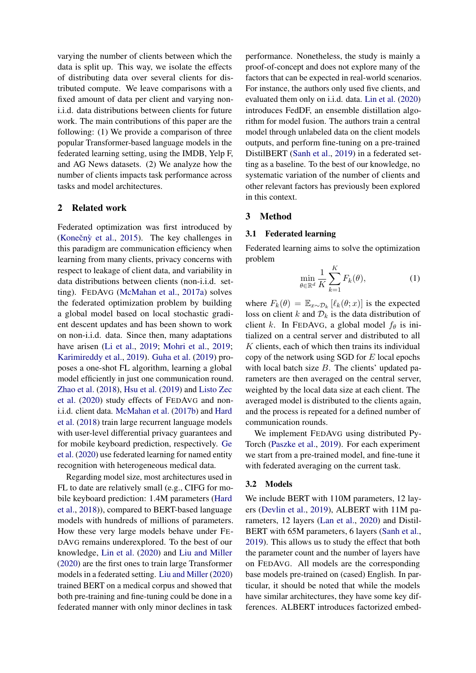varying the number of clients between which the data is split up. This way, we isolate the effects of distributing data over several clients for distributed compute. We leave comparisons with a fixed amount of data per client and varying noni.i.d. data distributions between clients for future work. The main contributions of this paper are the following: (1) We provide a comparison of three popular Transformer-based language models in the federated learning setting, using the IMDB, Yelp F, and AG News datasets. (2) We analyze how the number of clients impacts task performance across tasks and model architectures.

## 2 Related work

Federated optimization was first introduced by (Konečný et al., [2015\)](#page-4-5). The key challenges in this paradigm are communication efficiency when learning from many clients, privacy concerns with respect to leakage of client data, and variability in data distributions between clients (non-i.i.d. setting). FEDAVG [\(McMahan et al.,](#page-4-3) [2017a\)](#page-4-3) solves the federated optimization problem by building a global model based on local stochastic gradient descent updates and has been shown to work on non-i.i.d. data. Since then, many adaptations have arisen [\(Li et al.,](#page-4-6) [2019;](#page-4-6) [Mohri et al.,](#page-4-7) [2019;](#page-4-7) [Karimireddy et al.,](#page-4-8) [2019\)](#page-4-8). [Guha et al.](#page-4-9) [\(2019\)](#page-4-9) proposes a one-shot FL algorithm, learning a global model efficiently in just one communication round. [Zhao et al.](#page-5-4) [\(2018\)](#page-5-4), [Hsu et al.](#page-4-10) [\(2019\)](#page-4-10) and [Listo Zec](#page-4-11) [et al.](#page-4-11) [\(2020\)](#page-4-11) study effects of FEDAVG and noni.i.d. client data. [McMahan et al.](#page-4-12) [\(2017b\)](#page-4-12) and [Hard](#page-4-4) [et al.](#page-4-4) [\(2018\)](#page-4-4) train large recurrent language models with user-level differential privacy guarantees and for mobile keyboard prediction, respectively. [Ge](#page-4-13) [et al.](#page-4-13) [\(2020\)](#page-4-13) use federated learning for named entity recognition with heterogeneous medical data.

Regarding model size, most architectures used in FL to date are relatively small (e.g., CIFG for mobile keyboard prediction: 1.4M parameters [\(Hard](#page-4-4) [et al.,](#page-4-4) [2018\)](#page-4-4)), compared to BERT-based language models with hundreds of millions of parameters. How these very large models behave under FE-DAVG remains underexplored. To the best of our knowledge, [Lin et al.](#page-4-14) [\(2020\)](#page-4-14) and [Liu and Miller](#page-4-15) [\(2020\)](#page-4-15) are the first ones to train large Transformer models in a federated setting. [Liu and Miller](#page-4-15) [\(2020\)](#page-4-15) trained BERT on a medical corpus and showed that both pre-training and fine-tuning could be done in a federated manner with only minor declines in task

performance. Nonetheless, the study is mainly a proof-of-concept and does not explore many of the factors that can be expected in real-world scenarios. For instance, the authors only used five clients, and evaluated them only on i.i.d. data. [Lin et al.](#page-4-14) [\(2020\)](#page-4-14) introduces FedDF, an ensemble distillation algorithm for model fusion. The authors train a central model through unlabeled data on the client models outputs, and perform fine-tuning on a pre-trained DistilBERT [\(Sanh et al.,](#page-4-16) [2019\)](#page-4-16) in a federated setting as a baseline. To the best of our knowledge, no systematic variation of the number of clients and other relevant factors has previously been explored in this context.

# 3 Method

#### 3.1 Federated learning

Federated learning aims to solve the optimization problem  $\overline{K}$ 

$$
\min_{\theta \in \mathbb{R}^d} \frac{1}{K} \sum_{k=1}^K F_k(\theta),\tag{1}
$$

where  $F_k(\theta) = \mathbb{E}_{x \sim \mathcal{D}_k} [\ell_k(\theta; x)]$  is the expected loss on client k and  $\mathcal{D}_k$  is the data distribution of client k. In FEDAVG, a global model  $f_{\theta}$  is initialized on a central server and distributed to all  $K$  clients, each of which then trains its individual copy of the network using SGD for  $E$  local epochs with local batch size  $B$ . The clients' updated parameters are then averaged on the central server, weighted by the local data size at each client. The averaged model is distributed to the clients again, and the process is repeated for a defined number of communication rounds.

We implement FEDAVG using distributed Py-Torch [\(Paszke et al.,](#page-4-17) [2019\)](#page-4-17). For each experiment we start from a pre-trained model, and fine-tune it with federated averaging on the current task.

## 3.2 Models

We include BERT with 110M parameters, 12 layers [\(Devlin et al.,](#page-4-0) [2019\)](#page-4-0), ALBERT with 11M parameters, 12 layers [\(Lan et al.,](#page-4-18) [2020\)](#page-4-18) and Distil-BERT with 65M parameters, 6 layers [\(Sanh et al.,](#page-4-16) [2019\)](#page-4-16). This allows us to study the effect that both the parameter count and the number of layers have on FEDAVG. All models are the corresponding base models pre-trained on (cased) English. In particular, it should be noted that while the models have similar architectures, they have some key differences. ALBERT introduces factorized embed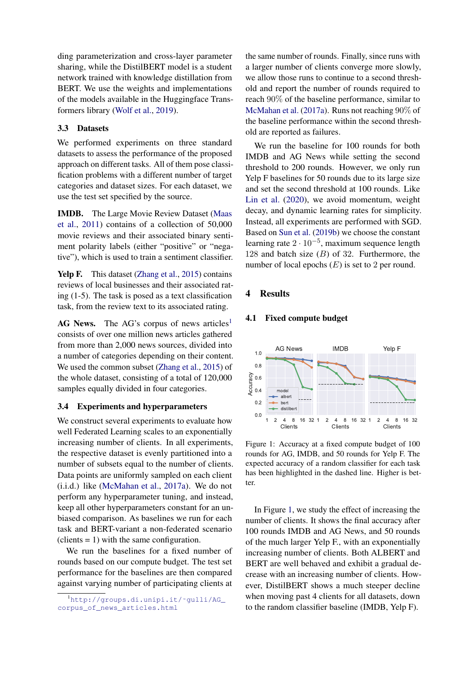ding parameterization and cross-layer parameter sharing, while the DistilBERT model is a student network trained with knowledge distillation from BERT. We use the weights and implementations of the models available in the Huggingface Transformers library [\(Wolf et al.,](#page-5-5) [2019\)](#page-5-5).

# 3.3 Datasets

We performed experiments on three standard datasets to assess the performance of the proposed approach on different tasks. All of them pose classification problems with a different number of target categories and dataset sizes. For each dataset, we use the test set specified by the source.

IMDB. The Large Movie Review Dataset [\(Maas](#page-4-19) [et al.,](#page-4-19) [2011\)](#page-4-19) contains of a collection of 50,000 movie reviews and their associated binary sentiment polarity labels (either "positive" or "negative"), which is used to train a sentiment classifier.

Yelp F. This dataset [\(Zhang et al.,](#page-5-6) [2015\)](#page-5-6) contains reviews of local businesses and their associated rating (1-5). The task is posed as a text classification task, from the review text to its associated rating.

 $AG$  News. The AG's corpus of news articles<sup>[1](#page-2-0)</sup> consists of over one million news articles gathered from more than 2,000 news sources, divided into a number of categories depending on their content. We used the common subset [\(Zhang et al.,](#page-5-6) [2015\)](#page-5-6) of the whole dataset, consisting of a total of 120,000 samples equally divided in four categories.

# 3.4 Experiments and hyperparameters

We construct several experiments to evaluate how well Federated Learning scales to an exponentially increasing number of clients. In all experiments, the respective dataset is evenly partitioned into a number of subsets equal to the number of clients. Data points are uniformly sampled on each client (i.i.d.) like [\(McMahan et al.,](#page-4-3) [2017a\)](#page-4-3). We do not perform any hyperparameter tuning, and instead, keep all other hyperparameters constant for an unbiased comparison. As baselines we run for each task and BERT-variant a non-federated scenario  $clients = 1$ ) with the same configuration.

We run the baselines for a fixed number of rounds based on our compute budget. The test set performance for the baselines are then compared against varying number of participating clients at

the same number of rounds. Finally, since runs with a larger number of clients converge more slowly, we allow those runs to continue to a second threshold and report the number of rounds required to reach 90% of the baseline performance, similar to [McMahan et al.](#page-4-3) [\(2017a\)](#page-4-3). Runs not reaching 90% of the baseline performance within the second threshold are reported as failures.

We run the baseline for 100 rounds for both IMDB and AG News while setting the second threshold to 200 rounds. However, we only run Yelp F baselines for 50 rounds due to its large size and set the second threshold at 100 rounds. Like [Lin et al.](#page-4-14) [\(2020\)](#page-4-14), we avoid momentum, weight decay, and dynamic learning rates for simplicity. Instead, all experiments are performed with SGD. Based on [Sun et al.](#page-5-7) [\(2019b\)](#page-5-7) we choose the constant learning rate  $2 \cdot 10^{-5}$ , maximum sequence length 128 and batch size  $(B)$  of 32. Furthermore, the number of local epochs  $(E)$  is set to 2 per round.

### 4 Results

#### 4.1 Fixed compute budget

<span id="page-2-1"></span>

Figure 1: Accuracy at a fixed compute budget of 100 rounds for AG, IMDB, and 50 rounds for Yelp F. The expected accuracy of a random classifier for each task has been highlighted in the dashed line. Higher is better.

In Figure [1,](#page-2-1) we study the effect of increasing the number of clients. It shows the final accuracy after 100 rounds IMDB and AG News, and 50 rounds of the much larger Yelp F., with an exponentially increasing number of clients. Both ALBERT and BERT are well behaved and exhibit a gradual decrease with an increasing number of clients. However, DistilBERT shows a much steeper decline when moving past 4 clients for all datasets, down to the random classifier baseline (IMDB, Yelp F).

<span id="page-2-0"></span><sup>&</sup>lt;sup>1</sup>http://groups.di.unipi.it/~gulli/AG\_ [corpus\\_of\\_news\\_articles.html](http://groups.di.unipi.it/~gulli/AG_corpus_of_news_articles.html)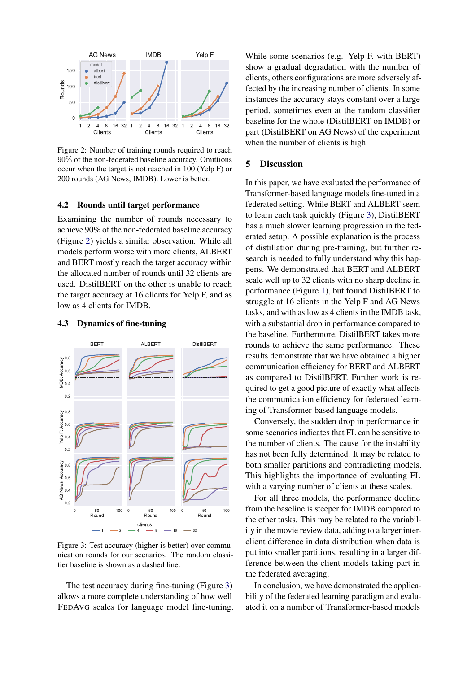<span id="page-3-0"></span>

Figure 2: Number of training rounds required to reach 90% of the non-federated baseline accuracy. Omittions occur when the target is not reached in 100 (Yelp F) or 200 rounds (AG News, IMDB). Lower is better.

### 4.2 Rounds until target performance

Examining the number of rounds necessary to achieve 90% of the non-federated baseline accuracy (Figure [2\)](#page-3-0) yields a similar observation. While all models perform worse with more clients, ALBERT and BERT mostly reach the target accuracy within the allocated number of rounds until 32 clients are used. DistilBERT on the other is unable to reach the target accuracy at 16 clients for Yelp F, and as low as 4 clients for IMDB.

## 4.3 Dynamics of fine-tuning

<span id="page-3-1"></span>

Figure 3: Test accuracy (higher is better) over communication rounds for our scenarios. The random classifier baseline is shown as a dashed line.

The test accuracy during fine-tuning (Figure [3\)](#page-3-1) allows a more complete understanding of how well FEDAVG scales for language model fine-tuning.

While some scenarios (e.g. Yelp F. with BERT) show a gradual degradation with the number of clients, others configurations are more adversely affected by the increasing number of clients. In some instances the accuracy stays constant over a large period, sometimes even at the random classifier baseline for the whole (DistilBERT on IMDB) or part (DistilBERT on AG News) of the experiment when the number of clients is high.

# 5 Discussion

In this paper, we have evaluated the performance of Transformer-based language models fine-tuned in a federated setting. While BERT and ALBERT seem to learn each task quickly (Figure [3\)](#page-3-1), DistilBERT has a much slower learning progression in the federated setup. A possible explanation is the process of distillation during pre-training, but further research is needed to fully understand why this happens. We demonstrated that BERT and ALBERT scale well up to 32 clients with no sharp decline in performance (Figure [1\)](#page-2-1), but found DistilBERT to struggle at 16 clients in the Yelp F and AG News tasks, and with as low as 4 clients in the IMDB task, with a substantial drop in performance compared to the baseline. Furthermore, DistilBERT takes more rounds to achieve the same performance. These results demonstrate that we have obtained a higher communication efficiency for BERT and ALBERT as compared to DistilBERT. Further work is required to get a good picture of exactly what affects the communication efficiency for federated learning of Transformer-based language models.

Conversely, the sudden drop in performance in some scenarios indicates that FL can be sensitive to the number of clients. The cause for the instability has not been fully determined. It may be related to both smaller partitions and contradicting models. This highlights the importance of evaluating FL with a varying number of clients at these scales.

For all three models, the performance decline from the baseline is steeper for IMDB compared to the other tasks. This may be related to the variability in the movie review data, adding to a larger interclient difference in data distribution when data is put into smaller partitions, resulting in a larger difference between the client models taking part in the federated averaging.

In conclusion, we have demonstrated the applicability of the federated learning paradigm and evaluated it on a number of Transformer-based models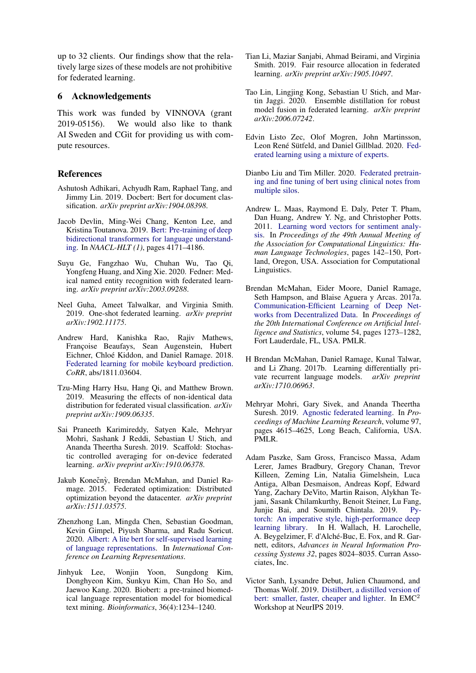up to 32 clients. Our findings show that the relatively large sizes of these models are not prohibitive for federated learning.

## 6 Acknowledgements

This work was funded by VINNOVA (grant 2019-05156). We would also like to thank AI Sweden and CGit for providing us with compute resources.

# References

- <span id="page-4-1"></span>Ashutosh Adhikari, Achyudh Ram, Raphael Tang, and Jimmy Lin. 2019. Docbert: Bert for document classification. *arXiv preprint arXiv:1904.08398*.
- <span id="page-4-0"></span>Jacob Devlin, Ming-Wei Chang, Kenton Lee, and Kristina Toutanova. 2019. [Bert: Pre-training of deep](https://aclweb.org/anthology/papers/N/N19/N19-1423/) [bidirectional transformers for language understand](https://aclweb.org/anthology/papers/N/N19/N19-1423/)[ing.](https://aclweb.org/anthology/papers/N/N19/N19-1423/) In *NAACL-HLT (1)*, pages 4171–4186.
- <span id="page-4-13"></span>Suyu Ge, Fangzhao Wu, Chuhan Wu, Tao Qi, Yongfeng Huang, and Xing Xie. 2020. Fedner: Medical named entity recognition with federated learning. *arXiv preprint arXiv:2003.09288*.
- <span id="page-4-9"></span>Neel Guha, Ameet Talwalkar, and Virginia Smith. 2019. One-shot federated learning. *arXiv preprint arXiv:1902.11175*.
- <span id="page-4-4"></span>Andrew Hard, Kanishka Rao, Rajiv Mathews, Françoise Beaufays, Sean Augenstein, Hubert Eichner, Chloé Kiddon, and Daniel Ramage. 2018. [Federated learning for mobile keyboard prediction.](http://arxiv.org/abs/1811.03604) *CoRR*, abs/1811.03604.
- <span id="page-4-10"></span>Tzu-Ming Harry Hsu, Hang Qi, and Matthew Brown. 2019. Measuring the effects of non-identical data distribution for federated visual classification. *arXiv preprint arXiv:1909.06335*.
- <span id="page-4-8"></span>Sai Praneeth Karimireddy, Satyen Kale, Mehryar Mohri, Sashank J Reddi, Sebastian U Stich, and Ananda Theertha Suresh. 2019. Scaffold: Stochastic controlled averaging for on-device federated learning. *arXiv preprint arXiv:1910.06378*.
- <span id="page-4-5"></span>Jakub Konečnỳ, Brendan McMahan, and Daniel Ramage. 2015. Federated optimization: Distributed optimization beyond the datacenter. *arXiv preprint arXiv:1511.03575*.
- <span id="page-4-18"></span>Zhenzhong Lan, Mingda Chen, Sebastian Goodman, Kevin Gimpel, Piyush Sharma, and Radu Soricut. 2020. [Albert: A lite bert for self-supervised learning](https://openreview.net/forum?id=H1eA7AEtvS) [of language representations.](https://openreview.net/forum?id=H1eA7AEtvS) In *International Conference on Learning Representations*.
- <span id="page-4-2"></span>Jinhyuk Lee, Wonjin Yoon, Sungdong Kim, Donghyeon Kim, Sunkyu Kim, Chan Ho So, and Jaewoo Kang. 2020. Biobert: a pre-trained biomedical language representation model for biomedical text mining. *Bioinformatics*, 36(4):1234–1240.
- <span id="page-4-6"></span>Tian Li, Maziar Sanjabi, Ahmad Beirami, and Virginia Smith. 2019. Fair resource allocation in federated learning. *arXiv preprint arXiv:1905.10497*.
- <span id="page-4-14"></span>Tao Lin, Lingjing Kong, Sebastian U Stich, and Martin Jaggi. 2020. Ensemble distillation for robust model fusion in federated learning. *arXiv preprint arXiv:2006.07242*.
- <span id="page-4-11"></span>Edvin Listo Zec, Olof Mogren, John Martinsson, Leon René Sütfeld, and Daniel Gillblad. 2020. [Fed](http://arxiv.org/abs/2010.02056)[erated learning using a mixture of experts.](http://arxiv.org/abs/2010.02056)
- <span id="page-4-15"></span>Dianbo Liu and Tim Miller. 2020. [Federated pretrain](http://arxiv.org/abs/2002.08562)[ing and fine tuning of bert using clinical notes from](http://arxiv.org/abs/2002.08562) [multiple silos.](http://arxiv.org/abs/2002.08562)
- <span id="page-4-19"></span>Andrew L. Maas, Raymond E. Daly, Peter T. Pham, Dan Huang, Andrew Y. Ng, and Christopher Potts. 2011. [Learning word vectors for sentiment analy](http://www.aclweb.org/anthology/P11-1015)[sis.](http://www.aclweb.org/anthology/P11-1015) In *Proceedings of the 49th Annual Meeting of the Association for Computational Linguistics: Human Language Technologies*, pages 142–150, Portland, Oregon, USA. Association for Computational Linguistics.
- <span id="page-4-3"></span>Brendan McMahan, Eider Moore, Daniel Ramage, Seth Hampson, and Blaise Aguera y Arcas. 2017a. [Communication-Efficient Learning of Deep Net](http://proceedings.mlr.press/v54/mcmahan17a.html)[works from Decentralized Data.](http://proceedings.mlr.press/v54/mcmahan17a.html) In *Proceedings of the 20th International Conference on Artificial Intelligence and Statistics*, volume 54, pages 1273–1282, Fort Lauderdale, FL, USA. PMLR.
- <span id="page-4-12"></span>H Brendan McMahan, Daniel Ramage, Kunal Talwar, and Li Zhang. 2017b. Learning differentially private recurrent language models. *arXiv preprint arXiv:1710.06963*.
- <span id="page-4-7"></span>Mehryar Mohri, Gary Sivek, and Ananda Theertha Suresh. 2019. [Agnostic federated learning.](http://proceedings.mlr.press/v97/mohri19a.html) In *Proceedings of Machine Learning Research*, volume 97, pages 4615–4625, Long Beach, California, USA. PMLR.
- <span id="page-4-17"></span>Adam Paszke, Sam Gross, Francisco Massa, Adam Lerer, James Bradbury, Gregory Chanan, Trevor Killeen, Zeming Lin, Natalia Gimelshein, Luca Antiga, Alban Desmaison, Andreas Kopf, Edward Yang, Zachary DeVito, Martin Raison, Alykhan Tejani, Sasank Chilamkurthy, Benoit Steiner, Lu Fang, Junjie Bai, and Soumith Chintala. 2019. [Py](http://papers.neurips.cc/paper/9015-pytorch-an-imperative-style-high-performance-deep-learning-library.pdf)[torch: An imperative style, high-performance deep](http://papers.neurips.cc/paper/9015-pytorch-an-imperative-style-high-performance-deep-learning-library.pdf) [learning library.](http://papers.neurips.cc/paper/9015-pytorch-an-imperative-style-high-performance-deep-learning-library.pdf) In H. Wallach, H. Larochelle, A. Beygelzimer, F. d'Alché-Buc, E. Fox, and R. Garnett, editors, *Advances in Neural Information Processing Systems 32*, pages 8024–8035. Curran Associates, Inc.
- <span id="page-4-16"></span>Victor Sanh, Lysandre Debut, Julien Chaumond, and Thomas Wolf. 2019. [Distilbert, a distilled version of](http://arxiv.org/abs/1910.01108) [bert: smaller, faster, cheaper and lighter.](http://arxiv.org/abs/1910.01108) In EMC<sup>2</sup> Workshop at NeurIPS 2019.